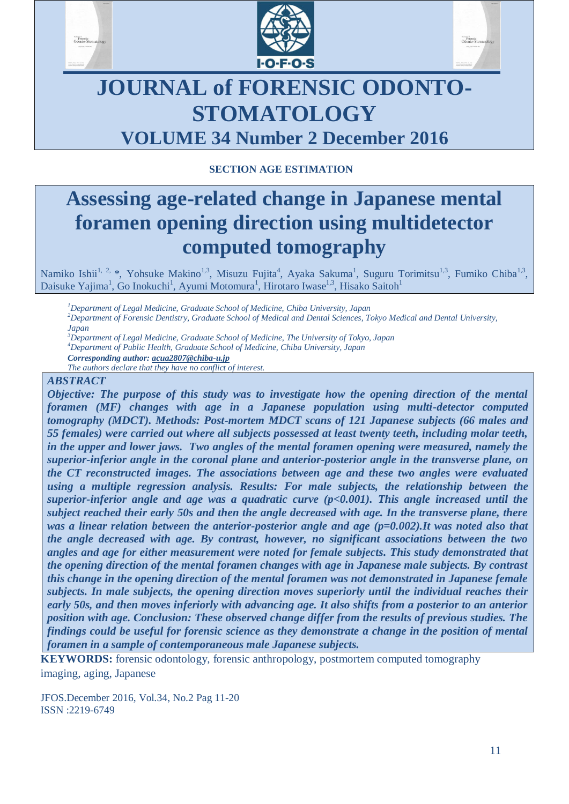





# **JOURNAL of FORENSIC ODONTO-STOMATOLOGY VOLUME 34 Number 2 December 2016**

# **SECTION AGE ESTIMATION**

# **Assessing age-related change in Japanese mental foramen opening direction using multidetector computed tomography**

Namiko Ishii<sup>1, 2,</sup> \*, Yohsuke Makino<sup>1,3</sup>, Misuzu Fujita<sup>4</sup>, Ayaka Sakuma<sup>1</sup>, Suguru Torimitsu<sup>1,3</sup>, Fumiko Chiba<sup>1,3</sup>, Daisuke Yajima<sup>1</sup>, Go Inokuchi<sup>1</sup>, Ayumi Motomura<sup>1</sup>, Hirotaro Iwase<sup>1,3</sup>, Hisako Saitoh<sup>1</sup>

*Department of Legal Medicine, Graduate School of Medicine, Chiba University, Japan Department of Forensic Dentistry, Graduate School of Medical and Dental Sciences, Tokyo Medical and Dental University, Japan Department of Legal Medicine, Graduate School of Medicine, The University of Tokyo, Japan*

*<sup>4</sup>Department of Public Health, Graduate School of Medicine, Chiba University, Japan*

*Corresponding author: acua2807@chiba-u.jp*

*The authors declare that they have no conflict of interest.*

#### *ABSTRACT*

*Objective: The purpose of this study was to investigate how the opening direction of the mental foramen (MF) changes with age in a Japanese population using multi-detector computed tomography (MDCT). Methods: Post-mortem MDCT scans of 121 Japanese subjects (66 males and 55 females) were carried out where all subjects possessed at least twenty teeth, including molar teeth, in the upper and lower jaws. Two angles of the mental foramen opening were measured, namely the superior-inferior angle in the coronal plane and anterior-posterior angle in the transverse plane, on the CT reconstructed images. The associations between age and these two angles were evaluated using a multiple regression analysis. Results: For male subjects, the relationship between the superior-inferior angle and age was a quadratic curve (p<0.001). This angle increased until the subject reached their early 50s and then the angle decreased with age. In the transverse plane, there was a linear relation between the anterior-posterior angle and age (p=0.002).It was noted also that the angle decreased with age. By contrast, however, no significant associations between the two angles and age for either measurement were noted for female subjects. This study demonstrated that the opening direction of the mental foramen changes with age in Japanese male subjects. By contrast this change in the opening direction of the mental foramen was not demonstrated in Japanese female subjects. In male subjects, the opening direction moves superiorly until the individual reaches their early 50s, and then moves inferiorly with advancing age. It also shifts from a posterior to an anterior position with age. Conclusion: These observed change differ from the results of previous studies. The findings could be useful for forensic science as they demonstrate a change in the position of mental foramen in a sample of contemporaneous male Japanese subjects.*

**KEYWORDS:** forensic odontology, forensic anthropology, postmortem computed tomography imaging, aging, Japanese

JFOS.December 2016, Vol.34, No.2 Pag 11-20 ISSN :2219-6749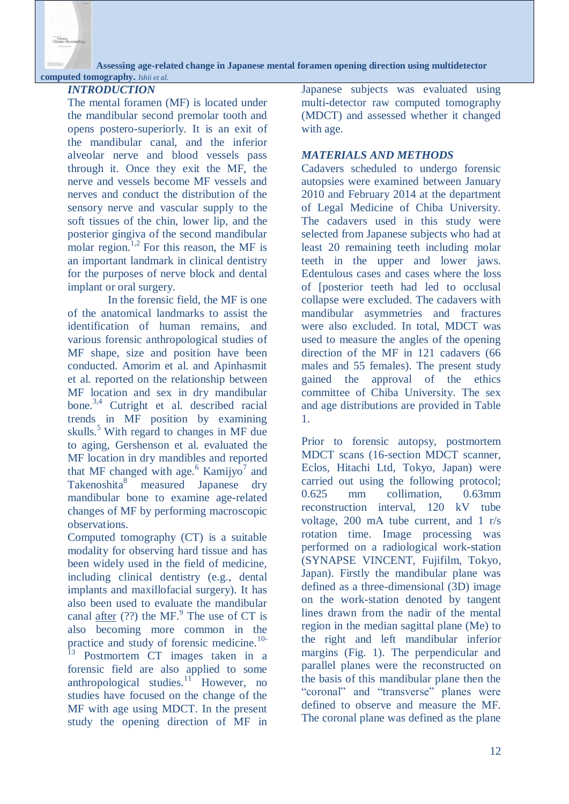Forensic<br>Orlogto, S

**Assessing age-related change in Japanese mental foramen opening direction using multidetector**

#### **computed tomography.** *Ishii et al. INTRODUCTION*

The mental foramen (MF) is located under the mandibular second premolar tooth and opens postero-superiorly. It is an exit of the mandibular canal, and the inferior alveolar nerve and blood vessels pass through it. Once they exit the MF, the nerve and vessels become MF vessels and nerves and conduct the distribution of the sensory nerve and vascular supply to the soft tissues of the chin, lower lip, and the posterior gingiva of the second mandibular molar region.<sup>1,2</sup> For this reason, the MF is an important landmark in clinical dentistry for the purposes of nerve block and dental implant or oral surgery.

In the forensic field, the MF is one of the anatomical landmarks to assist the identification of human remains, and various forensic anthropological studies of MF shape, size and position have been conducted. Amorim et al. and Apinhasmit et al. reported on the relationship between MF location and sex in dry mandibular bone.3,4 Cutright et al. described racial trends in MF position by examining skulls.<sup>5</sup> With regard to changes in MF due to aging, Gershenson et al. evaluated the MF location in dry mandibles and reported that MF changed with age.<sup>6</sup> Kamijyo<sup>7</sup> and Takenoshita<sup>8</sup> measured Japanese dry mandibular bone to examine age-related changes of MF by performing macroscopic observations.

Computed tomography (CT) is a suitable modality for observing hard tissue and has been widely used in the field of medicine, including clinical dentistry (e.g., dental implants and maxillofacial surgery). It has also been used to evaluate the mandibular canal  $\frac{\text{after}}{\text{after}}$  (??) the MF.<sup>9</sup> The use of CT is also becoming more common in the practice and study of forensic medicine.<sup>10-</sup>

 $\frac{13}{13}$  Postmortem CT images taken in a forensic field are also applied to some anthropological studies. $\frac{11}{10}$  However, no studies have focused on the change of the MF with age using MDCT. In the present study the opening direction of MF in

Japanese subjects was evaluated using multi-detector raw computed tomography (MDCT) and assessed whether it changed with age.

## *MATERIALS AND METHODS*

Cadavers scheduled to undergo forensic autopsies were examined between January 2010 and February 2014 at the department of Legal Medicine of Chiba University. The cadavers used in this study were selected from Japanese subjects who had at least 20 remaining teeth including molar teeth in the upper and lower jaws. Edentulous cases and cases where the loss of [posterior teeth had led to occlusal collapse were excluded. The cadavers with mandibular asymmetries and fractures were also excluded. In total, MDCT was used to measure the angles of the opening direction of the MF in 121 cadavers (66 males and 55 females). The present study gained the approval of the ethics committee of Chiba University. The sex and age distributions are provided in Table 1.

Prior to forensic autopsy, postmortem MDCT scans (16-section MDCT scanner, Eclos, Hitachi Ltd, Tokyo, Japan) were carried out using the following protocol; 0.625 mm collimation, 0.63mm reconstruction interval, 120 kV tube voltage, 200 mA tube current, and 1 r/s rotation time. Image processing was performed on a radiological work-station (SYNAPSE VINCENT, Fujifilm, Tokyo, Japan). Firstly the mandibular plane was defined as a three-dimensional (3D) image on the work-station denoted by tangent lines drawn from the nadir of the mental region in the median sagittal plane (Me) to the right and left mandibular inferior margins (Fig. 1). The perpendicular and parallel planes were the reconstructed on the basis of this mandibular plane then the "coronal" and "transverse" planes were defined to observe and measure the MF. The coronal plane was defined as the plane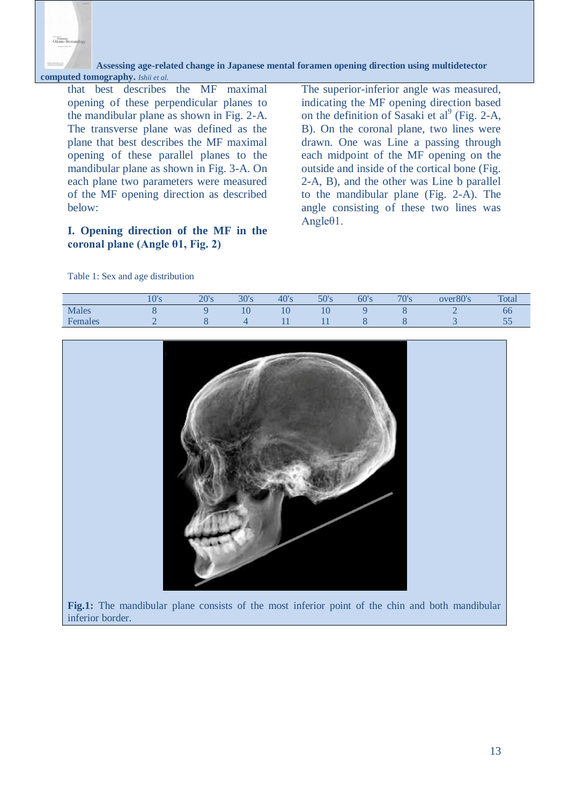

 **Assessing age-related change in Japanese mental foramen opening direction using multidetector computed tomography.** *Ishii et al.*

that best describes the MF maximal opening of these perpendicular planes to the mandibular plane as shown in Fig. 2-A. The transverse plane was defined as the plane that best describes the MF maximal opening of these parallel planes to the mandibular plane as shown in Fig. 3-A. On each plane two parameters were measured of the MF opening direction as described below:

#### **I. Opening direction of the MF in the coronal plane (Angle θ1, Fig. 2)**

The superior-inferior angle was measured, indicating the MF opening direction based on the definition of Sasaki et al<sup>9</sup> (Fig. 2-A, B). On the coronal plane, two lines were drawn. One was Line a passing through each midpoint of the MF opening on the outside and inside of the cortical bone (Fig. 2-A, B), and the other was Line b parallel to the mandibular plane (Fig. 2-A). The angle consisting of these two lines was Angleθ1.

| Females | $\overline{2}$ | $8\,$ | $\overline{4}$ | 11 | 11 | $8\,$ | $8\phantom{1}$ | $\mathfrak{Z}$ | 55 |
|---------|----------------|-------|----------------|----|----|-------|----------------|----------------|----|
|         |                |       |                |    |    |       |                |                |    |
|         |                |       |                |    |    |       |                |                |    |

Males 8 9 10 10 10 9 8 2 66

10's 20's 30's 40's 50's 60's 70's over80's Total

Table 1: Sex and age distribution

**Fig.1:** The mandibular plane consists of the most inferior point of the chin and both mandibular inferior border.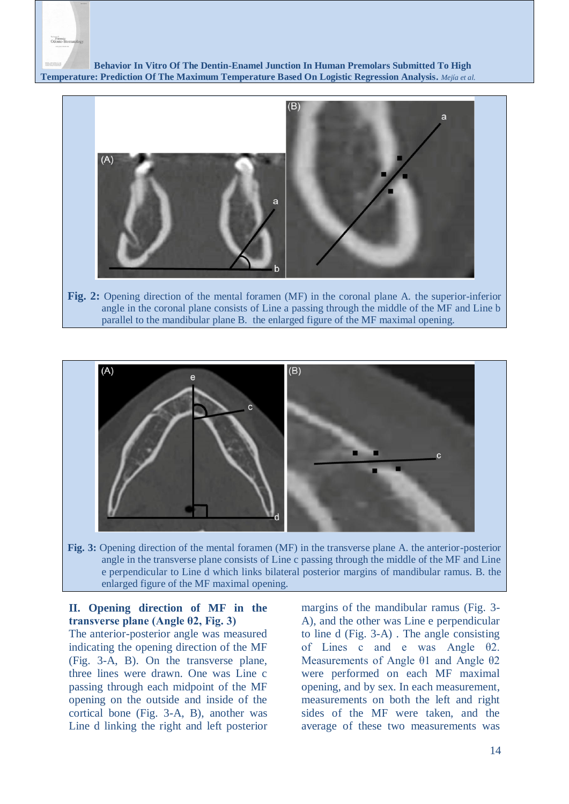

 **Behavior In Vitro Of The Dentin-Enamel Junction In Human Premolars Submitted To High Temperature: Prediction Of The Maximum Temperature Based On Logistic Regression Analysis.** *Mejía et al.*



**Fig. 2:** Opening direction of the mental foramen (MF) in the coronal plane A. the superior-inferior angle in the coronal plane consists of Line a passing through the middle of the MF and Line b parallel to the mandibular plane B. the enlarged figure of the MF maximal opening.



angle in the transverse plane consists of Line c passing through the middle of the MF and Line e perpendicular to Line d which links bilateral posterior margins of mandibular ramus. B. the enlarged figure of the MF maximal opening.

## **II. Opening direction of MF in the transverse plane (Angle θ2, Fig. 3)**

The anterior-posterior angle was measured indicating the opening direction of the MF (Fig. 3-A, B). On the transverse plane, three lines were drawn. One was Line c passing through each midpoint of the MF opening on the outside and inside of the cortical bone (Fig. 3-A, B), another was Line d linking the right and left posterior

margins of the mandibular ramus (Fig. 3- A), and the other was Line e perpendicular to line d (Fig. 3-A) . The angle consisting of Lines c and e was Angle θ2. Measurements of Angle θ1 and Angle θ2 were performed on each MF maximal opening, and by sex. In each measurement, measurements on both the left and right sides of the MF were taken, and the average of these two measurements was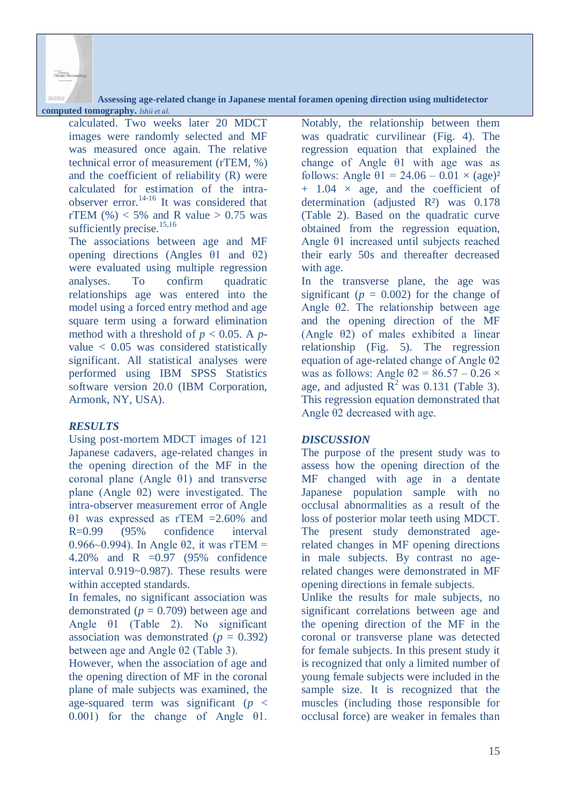**Assessing age-related change in Japanese mental foramen opening direction using multidetector**

### **computed tomography.** *Ishii et al.*

Forensic<br>Odonto-St

calculated. Two weeks later 20 MDCT images were randomly selected and MF was measured once again. The relative technical error of measurement (rTEM, %) and the coefficient of reliability (R) were calculated for estimation of the intraobserver error.14-16 It was considered that rTEM  $(\%)<$  5% and R value  $>$  0.75 was sufficiently precise.<sup>15,16</sup>

The associations between age and MF opening directions (Angles θ1 and θ2) were evaluated using multiple regression analyses. To confirm quadratic relationships age was entered into the model using a forced entry method and age square term using a forward elimination method with a threshold of  $p < 0.05$ . A  $p$ value < 0.05 was considered statistically significant. All statistical analyses were performed using IBM SPSS Statistics software version 20.0 (IBM Corporation, Armonk, NY, USA).

#### *RESULTS*

Using post-mortem MDCT images of 121 Japanese cadavers, age-related changes in the opening direction of the MF in the coronal plane (Angle θ1) and transverse plane (Angle θ2) were investigated. The intra-observer measurement error of Angle θ1 was expressed as rTEM =2.60% and R=0.99 (95% confidence interval 0.966~0.994). In Angle  $\theta$ 2, it was rTEM = 4.20% and R =0.97 (95% confidence interval 0.919~0.987). These results were within accepted standards.

In females, no significant association was demonstrated  $(p = 0.709)$  between age and Angle θ1 (Table 2). No significant association was demonstrated  $(p = 0.392)$ between age and Angle θ2 (Table 3).

However, when the association of age and the opening direction of MF in the coronal plane of male subjects was examined, the age-squared term was significant (*p* < 0.001) for the change of Angle θ1.

Notably, the relationship between them was quadratic curvilinear (Fig. 4). The regression equation that explained the change of Angle θ1 with age was as follows: Angle  $\theta$ 1 = 24.06 – 0.01  $\times$  (age)<sup>2</sup>  $+$  1.04  $\times$  age, and the coefficient of determination (adjusted R<sup>2</sup>) was 0.178 (Table 2). Based on the quadratic curve obtained from the regression equation, Angle θ1 increased until subjects reached their early 50s and thereafter decreased with age.

In the transverse plane, the age was significant ( $p = 0.002$ ) for the change of Angle θ2. The relationship between age and the opening direction of the MF (Angle θ2) of males exhibited a linear relationship (Fig. 5). The regression equation of age-related change of Angle θ2 was as follows: Angle  $\theta$ 2 = 86.57 – 0.26  $\times$ age, and adjusted  $\overline{R}^2$  was 0.131 (Table 3). This regression equation demonstrated that Angle θ2 decreased with age.

#### *DISCUSSION*

The purpose of the present study was to assess how the opening direction of the MF changed with age in a dentate Japanese population sample with no occlusal abnormalities as a result of the loss of posterior molar teeth using MDCT. The present study demonstrated agerelated changes in MF opening directions in male subjects. By contrast no agerelated changes were demonstrated in MF opening directions in female subjects.

Unlike the results for male subjects, no significant correlations between age and the opening direction of the MF in the coronal or transverse plane was detected for female subjects. In this present study it is recognized that only a limited number of young female subjects were included in the sample size. It is recognized that the muscles (including those responsible for occlusal force) are weaker in females than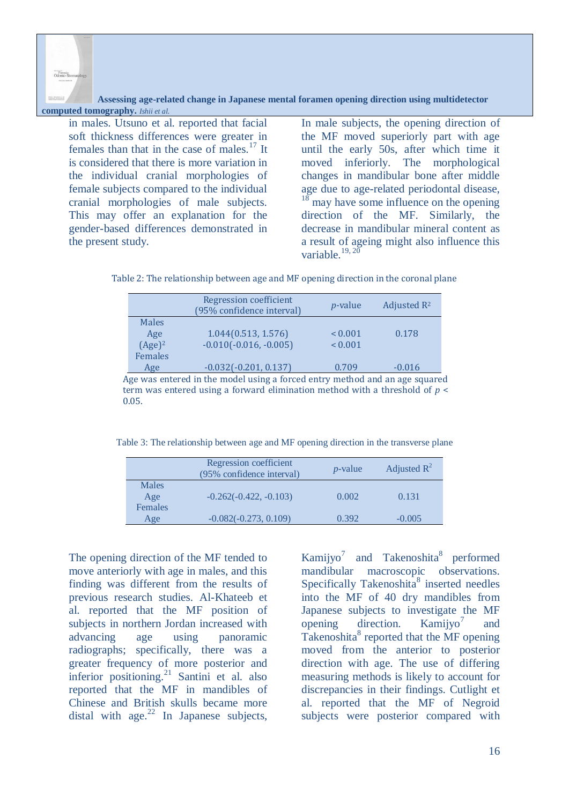**Assessing age-related change in Japanese mental foramen opening direction using multidetector computed tomography.** *Ishii et al.*

in males. Utsuno et al. reported that facial soft thickness differences were greater in females than that in the case of males. $17$  It is considered that there is more variation in the individual cranial morphologies of female subjects compared to the individual cranial morphologies of male subjects. This may offer an explanation for the gender-based differences demonstrated in the present study.

Forensic<br>Odonto - S

In male subjects, the opening direction of the MF moved superiorly part with age until the early 50s, after which time it moved inferiorly. The morphological changes in mandibular bone after middle age due to age-related periodontal disease, may have some influence on the opening direction of the MF. Similarly, the decrease in mandibular mineral content as a result of ageing might also influence this variable.<sup>19, 20</sup>

| Table 2: The relationship between age and MF opening direction in the coronal plane |  |  |  |
|-------------------------------------------------------------------------------------|--|--|--|
|-------------------------------------------------------------------------------------|--|--|--|

| Regression coefficient<br>(95% confidence interval) | <i>p</i> -value | Adjusted R <sup>2</sup> |
|-----------------------------------------------------|-----------------|-------------------------|
|                                                     |                 |                         |
| 1.044(0.513, 1.576)                                 | ${}_{0.001}$    | 0.178                   |
| $-0.010(-0.016, -0.005)$                            | ${}_{0.001}$    |                         |
|                                                     |                 |                         |
| $-0.032(-0.201, 0.137)$                             | 0.709           | $-0.016$                |
|                                                     |                 |                         |

Age was entered in the model using a forced entry method and an age squared term was entered using a forward elimination method with a threshold of *p* < 0.05.

Table 3: The relationship between age and MF opening direction in the transverse plane

|                         | Regression coefficient<br>(95% confidence interval) | <i>p</i> -value | Adjusted $R^2$ |
|-------------------------|-----------------------------------------------------|-----------------|----------------|
| Males<br>Age<br>Females | $-0.262(-0.422, -0.103)$                            | 0.002           | 0.131          |
| Age                     | $-0.082(-0.273, 0.109)$                             | 0.392           | $-0.005$       |

The opening direction of the MF tended to move anteriorly with age in males, and this finding was different from the results of previous research studies. Al-Khateeb et al. reported that the MF position of subjects in northern Jordan increased with advancing age using panoramic radiographs; specifically, there was a greater frequency of more posterior and inferior positioning.<sup>21</sup> Santini et al. also reported that the MF in mandibles of Chinese and British skulls became more distal with age. $^{22}$  In Japanese subjects, Kamijyo<sup>7</sup> and Takenoshita<sup>8</sup> performed mandibular macroscopic observations. Specifically Takenoshita<sup>8</sup> inserted needles into the MF of 40 dry mandibles from Japanese subjects to investigate the MF opening direction. Kamiiyo<sup>7</sup> and Takenoshita<sup>8</sup> reported that the MF opening moved from the anterior to posterior direction with age. The use of differing measuring methods is likely to account for discrepancies in their findings. Cutlight et al. reported that the MF of Negroid subjects were posterior compared with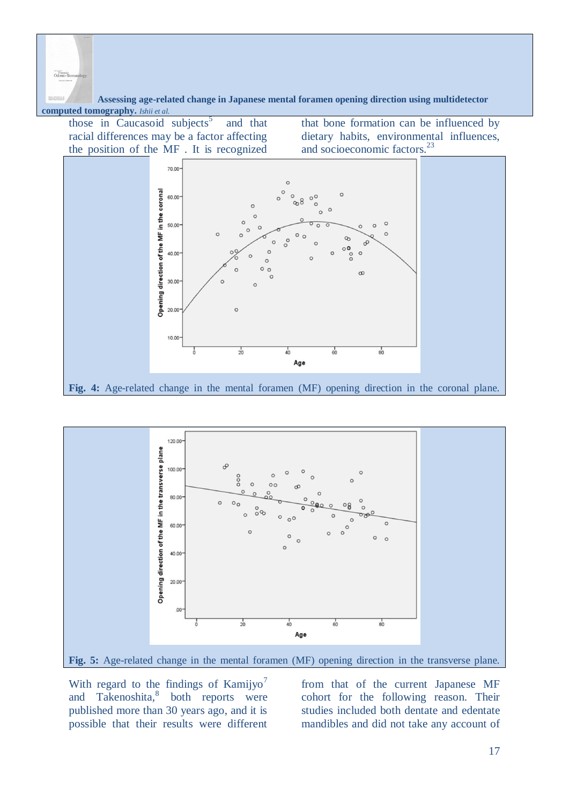Corensi

 **Assessing age-related change in Japanese mental foramen opening direction using multidetector computed tomography.** *Ishii et al.*

those in Caucasoid subjects<sup>5</sup> and that racial differences may be a factor affecting the position of the MF . It is recognized that bone formation can be influenced by dietary habits, environmental influences, and socioeconomic factors.<sup>23</sup>





With regard to the findings of Kamijyo<sup>7</sup> and Takenoshita,<sup>8</sup> both reports were published more than 30 years ago, and it is possible that their results were different

from that of the current Japanese MF cohort for the following reason. Their studies included both dentate and edentate mandibles and did not take any account of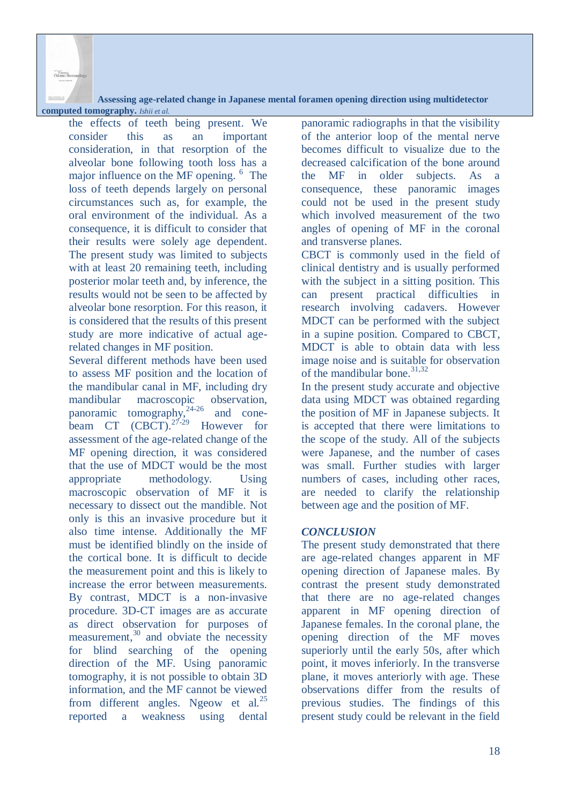**Assessing age-related change in Japanese mental foramen opening direction using multidetector**

## **computed tomography.** *Ishii et al.*

Forensic<br>Odonto-S

the effects of teeth being present. We consider this as an important consideration, in that resorption of the alveolar bone following tooth loss has a major influence on the MF opening. <sup>6</sup> The loss of teeth depends largely on personal circumstances such as, for example, the oral environment of the individual. As a consequence, it is difficult to consider that their results were solely age dependent. The present study was limited to subjects with at least 20 remaining teeth, including posterior molar teeth and, by inference, the results would not be seen to be affected by alveolar bone resorption. For this reason, it is considered that the results of this present study are more indicative of actual agerelated changes in MF position.

Several different methods have been used to assess MF position and the location of the mandibular canal in MF, including dry mandibular macroscopic observation, panoramic tomography, $24-26$  and conebeam CT  $(CBCT)$ .<sup>27-29</sup> However for assessment of the age-related change of the MF opening direction, it was considered that the use of MDCT would be the most appropriate methodology. Using macroscopic observation of MF it is necessary to dissect out the mandible. Not only is this an invasive procedure but it also time intense. Additionally the MF must be identified blindly on the inside of the cortical bone. It is difficult to decide the measurement point and this is likely to increase the error between measurements. By contrast, MDCT is a non-invasive procedure. 3D-CT images are as accurate as direct observation for purposes of measurement, $30$  and obviate the necessity for blind searching of the opening direction of the MF. Using panoramic tomography, it is not possible to obtain 3D information, and the MF cannot be viewed from different angles. Ngeow et al.<sup>25</sup> reported a weakness using dental panoramic radiographs in that the visibility of the anterior loop of the mental nerve becomes difficult to visualize due to the decreased calcification of the bone around the MF in older subjects. As a consequence, these panoramic images could not be used in the present study which involved measurement of the two angles of opening of MF in the coronal and transverse planes.

CBCT is commonly used in the field of clinical dentistry and is usually performed with the subject in a sitting position. This can present practical difficulties in research involving cadavers. However MDCT can be performed with the subject in a supine position. Compared to CBCT, MDCT is able to obtain data with less image noise and is suitable for observation of the mandibular bone. $31,32$ 

In the present study accurate and objective data using MDCT was obtained regarding the position of MF in Japanese subjects. It is accepted that there were limitations to the scope of the study. All of the subjects were Japanese, and the number of cases was small. Further studies with larger numbers of cases, including other races, are needed to clarify the relationship between age and the position of MF.

## *CONCLUSION*

The present study demonstrated that there are age-related changes apparent in MF opening direction of Japanese males. By contrast the present study demonstrated that there are no age-related changes apparent in MF opening direction of Japanese females. In the coronal plane, the opening direction of the MF moves superiorly until the early 50s, after which point, it moves inferiorly. In the transverse plane, it moves anteriorly with age. These observations differ from the results of previous studies. The findings of this present study could be relevant in the field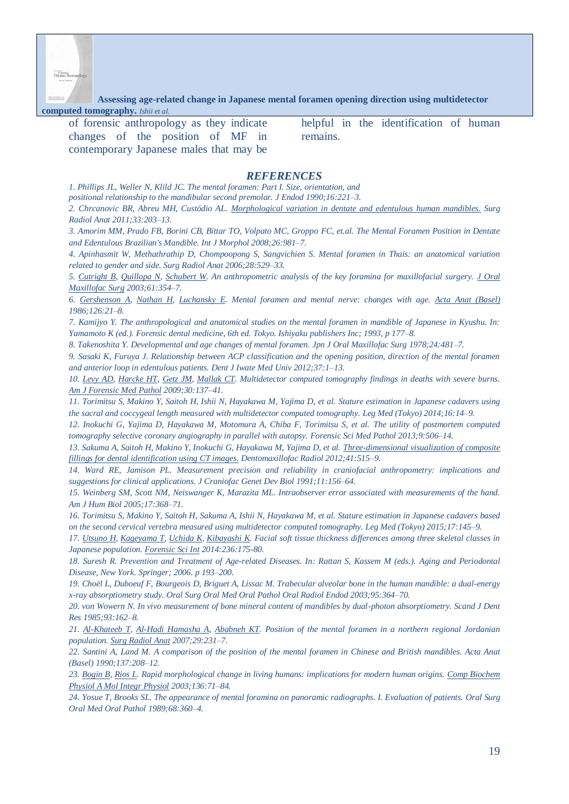

**Assessing age-related change in Japanese mental foramen opening direction using multidetector**

**computed tomography.** *Ishii et al.*

| of forensic anthropology as they indicate |  |  |  |  |
|-------------------------------------------|--|--|--|--|
| changes of the position of MF in          |  |  |  |  |
| contemporary Japanese males that may be   |  |  |  |  |

helpful in the identification of human remains.

#### *REFERENCES*

*1. Phillips JL, Weller N, Klild JC. The mental foramen: Part I. Size, orientation, and* 

*positional relationship to the mandibular second premolar. J Endod 1990;16:221–3.*

*2. Chrcanovic BR, Abreu MH, Custódio AL. Morphological variation in dentate [and edentulous](http://www.ncbi.nlm.nih.gov/pubmed/20878404) human mandibles. Surg Radiol Anat 2011;33:203–13.*

*3. Amorim MM, Prado FB, Borini CB, Bittar TO, Volpato MC, Groppo FC, et.al. The Mental Foramen Position in Dentate and Edentulous Brazilian's Mandible. Int J Morphol 2008;26:981–7.*

*4. [Apinhasmit W,](http://www.ncbi.nlm.nih.gov/pubmed?term=Apinhasmit%20W%5BAuthor%5D&cauthor=true&cauthor_uid=16642278) [Methathrathip D,](http://www.ncbi.nlm.nih.gov/pubmed?term=Methathrathip%20D%5BAuthor%5D&cauthor=true&cauthor_uid=16642278) [Chompoopong S,](http://www.ncbi.nlm.nih.gov/pubmed?term=Chompoopong%20S%5BAuthor%5D&cauthor=true&cauthor_uid=16642278) [Sangvichien S.](http://www.ncbi.nlm.nih.gov/pubmed?term=Sangvichien%20S%5BAuthor%5D&cauthor=true&cauthor_uid=16642278) Mental foramen in Thais: an anatomical variation related to gender and side. Surg Radiol Anat 2006;28:529–33.*

*5. [Cutright B,](http://www.ncbi.nlm.nih.gov/pubmed/?term=Cutright%20B%5BAuthor%5D&cauthor=true&cauthor_uid=12618976) [Quillopa N,](http://www.ncbi.nlm.nih.gov/pubmed/?term=Quillopa%20N%5BAuthor%5D&cauthor=true&cauthor_uid=12618976) [Schubert W.](http://www.ncbi.nlm.nih.gov/pubmed/?term=Schubert%20W%5BAuthor%5D&cauthor=true&cauthor_uid=12618976) An anthropometric analysis of the key foramina for maxillofacial surgery. [J Oral](http://www.ncbi.nlm.nih.gov/pubmed/?term=An+anthropometric+analysis+of+the+key+foramina+for+maxillofacial+surgery.)  [Maxillofac Surg](http://www.ncbi.nlm.nih.gov/pubmed/?term=An+anthropometric+analysis+of+the+key+foramina+for+maxillofacial+surgery.) 2003;61:354–7.*

*6. [Gershenson A,](http://www.ncbi.nlm.nih.gov/pubmed/?term=Gershenson%20A%5BAuthor%5D&cauthor=true&cauthor_uid=3739599) [Nathan H,](http://www.ncbi.nlm.nih.gov/pubmed/?term=Nathan%20H%5BAuthor%5D&cauthor=true&cauthor_uid=3739599) [Luchansky E.](http://www.ncbi.nlm.nih.gov/pubmed/?term=Luchansky%20E%5BAuthor%5D&cauthor=true&cauthor_uid=3739599) Mental foramen and mental nerve: changes with age. [Acta Anat \(Basel\)](http://www.ncbi.nlm.nih.gov/pubmed/?term=Mental+foramen+and+mental+nerve%3A+changes+with+age.+Acta+Anat+%28Basel%29) 1986;126:21–8.*

*7. Kamijyo Y. The anthropological and anatomical studies on the mental foramen in mandible of Japanese in Kyushu. In: Yamamoto K (ed.). Forensic dental medicine, 6th ed. Tokyo. Ishiyaku publishers Inc; 1993, p 177–8.* 

*8. Takenoshita Y. Developmental and age changes of mental foramen. Jpn J Oral Maxillofac Surg 1978;24:481–7.*

*9. Sasaki K, Furuya J. Relationship between ACP classification and the opening position, direction of the mental foramen and anterior loop in edentulous patients. Dent J Iwate Med Univ 2012;37:1–13.* 

*10. [Levy AD,](http://www.ncbi.nlm.nih.gov/pubmed/?term=Levy%20AD%5BAuthor%5D&cauthor=true&cauthor_uid=19465802) [Harcke HT,](http://www.ncbi.nlm.nih.gov/pubmed/?term=Harcke%20HT%5BAuthor%5D&cauthor=true&cauthor_uid=19465802) [Getz JM,](http://www.ncbi.nlm.nih.gov/pubmed/?term=Getz%20JM%5BAuthor%5D&cauthor=true&cauthor_uid=19465802) [Mallak CT.](http://www.ncbi.nlm.nih.gov/pubmed/?term=Mallak%20CT%5BAuthor%5D&cauthor=true&cauthor_uid=19465802) Multidetector computed tomography findings in deaths with severe burns. [Am J Forensic Med Pathol](http://www.ncbi.nlm.nih.gov/pubmed/?term=Multidetector+computed+tomography+findings+in+deaths+with+severe+burns.) 2009;30:137–41.*

*11. Torimitsu S, Makino Y, Saitoh H, Ishii N, Hayakawa M, Yajima D, et al. [Stature estimation in Japanese cadavers using](http://www.ncbi.nlm.nih.gov/pubmed/24262652)  [the sacral and coccygeal length measured with multidetector computed tomography.](http://www.ncbi.nlm.nih.gov/pubmed/24262652) Leg Med (Tokyo) 2014;16:14–9.*

*12. Inokuchi G, Yajima D, Hayakawa M, Motomura A, Chiba F, Torimitsu S, et al. [The utility of postmortem computed](http://www.ncbi.nlm.nih.gov/pubmed/23846906)  [tomography selective coronary angiography in parallel with autopsy.](http://www.ncbi.nlm.nih.gov/pubmed/23846906) Forensic Sci Med Pathol 2013;9:506–14.*

*13. Sakuma A, Saitoh H, Makino Y, Inokuchi G, Hayakawa M, Yajima D, et al. [Three-dimensional](http://www.ncbi.nlm.nih.gov/pubmed/22868297) visualization of composite fillings for dental [identification](http://www.ncbi.nlm.nih.gov/pubmed/22868297) using CT images. Dentomaxillofac Radiol 2012;41:515–9.* 

*14. [Ward RE,](http://www.ncbi.nlm.nih.gov/pubmed/?term=Ward%20RE%5BAuthor%5D&cauthor=true&cauthor_uid=1761648) [Jamison PL.](http://www.ncbi.nlm.nih.gov/pubmed/?term=Jamison%20PL%5BAuthor%5D&cauthor=true&cauthor_uid=1761648) Measurement precision and reliability in craniofacial anthropometry: implications and suggestions for clinical applications. [J Craniofac Genet Dev Biol](http://www.ncbi.nlm.nih.gov/pubmed/?term=Measurement%E3%80%80precision%E3%80%80and%E3%80%80reliability%E3%80%80in+craniofacial%E3%80%80anthropometry%3A+implications+and+suggestions+for+clinical+applications.) 1991;11:156–64.*

*15. [Weinberg SM,](http://www.ncbi.nlm.nih.gov/pubmed/?term=Weinberg%20SM%5BAuthor%5D&cauthor=true&cauthor_uid=15849702) [Scott NM,](http://www.ncbi.nlm.nih.gov/pubmed/?term=Scott%20NM%5BAuthor%5D&cauthor=true&cauthor_uid=15849702) [Neiswanger K,](http://www.ncbi.nlm.nih.gov/pubmed/?term=Neiswanger%20K%5BAuthor%5D&cauthor=true&cauthor_uid=15849702) [Marazita ML.](http://www.ncbi.nlm.nih.gov/pubmed/?term=Marazita%20ML%5BAuthor%5D&cauthor=true&cauthor_uid=15849702) Intraobserver error associated with measurements of the hand. [Am J Hum Biol](http://www.ncbi.nlm.nih.gov/pubmed/?term=Intraobserver+error+associated+with+measurements+of+the+hand.) 2005;17:368–71.*

*16. [Torimitsu S,](http://www.ncbi.nlm.nih.gov/pubmed/?term=Torimitsu%20S%5BAuthor%5D&cauthor=true&cauthor_uid=25466453) [Makino Y,](http://www.ncbi.nlm.nih.gov/pubmed/?term=Makino%20Y%5BAuthor%5D&cauthor=true&cauthor_uid=25466453) [Saitoh H,](http://www.ncbi.nlm.nih.gov/pubmed/?term=Saitoh%20H%5BAuthor%5D&cauthor=true&cauthor_uid=25466453) [Sakuma A,](http://www.ncbi.nlm.nih.gov/pubmed/?term=Sakuma%20A%5BAuthor%5D&cauthor=true&cauthor_uid=25466453) [Ishii N,](http://www.ncbi.nlm.nih.gov/pubmed/?term=Ishii%20N%5BAuthor%5D&cauthor=true&cauthor_uid=25466453) [Hayakawa M,](http://www.ncbi.nlm.nih.gov/pubmed/?term=Hayakawa%20M%5BAuthor%5D&cauthor=true&cauthor_uid=25466453) et al. Stature estimation in Japanese cadavers based on the second cervical vertebra measured using multidetector computed tomography[. Leg Med \(Tokyo\)](http://www.ncbi.nlm.nih.gov/pubmed/?term=Stature+estimation+in+Japanese+cadavers+based+on+the+second+cdrvical+vertebra+measured+using+multidetector+computed+tomography.) 2015;17:145–9.* 

*17. [Utsuno H,](http://www.ncbi.nlm.nih.gov/pubmed/?term=Utsuno%20H%5BAuthor%5D&cauthor=true&cauthor_uid=24509238) [Kageyama T,](http://www.ncbi.nlm.nih.gov/pubmed/?term=Kageyama%20T%5BAuthor%5D&cauthor=true&cauthor_uid=24509238) [Uchida K,](http://www.ncbi.nlm.nih.gov/pubmed/?term=Uchida%20K%5BAuthor%5D&cauthor=true&cauthor_uid=24509238) [Kibayashi](http://www.ncbi.nlm.nih.gov/pubmed/?term=Kibayashi%20K%5BAuthor%5D&cauthor=true&cauthor_uid=24509238) K. Facial soft tissue thickness differences among three skeletal classes in Japanese population[. Forensic Sci Int](http://www.ncbi.nlm.nih.gov/pubmed/24509238) 2014:236:175-80.* 

*18. Suresh R. [Prevention and Treatment of Age-related Diseases.](http://link.springer.com/book/10.1007/1-4020-5058-5) In: Rattan S, Kassem M (eds.). Aging and Periodontal Disease, New York. Springer; 2006. p 193–200.*

*19[. Choël L,](http://www.ncbi.nlm.nih.gov/pubmed?term=Cho%C3%ABl%20L%5BAuthor%5D&cauthor=true&cauthor_uid=12627111) [Duboeuf F,](http://www.ncbi.nlm.nih.gov/pubmed?term=Duboeuf%20F%5BAuthor%5D&cauthor=true&cauthor_uid=12627111) [Bourgeois D,](http://www.ncbi.nlm.nih.gov/pubmed?term=Bourgeois%20D%5BAuthor%5D&cauthor=true&cauthor_uid=12627111) [Briguet A,](http://www.ncbi.nlm.nih.gov/pubmed?term=Briguet%20A%5BAuthor%5D&cauthor=true&cauthor_uid=12627111) [Lissac M.](http://www.ncbi.nlm.nih.gov/pubmed?term=Lissac%20M%5BAuthor%5D&cauthor=true&cauthor_uid=12627111) Trabecular alveolar bone in the human mandible: a dual-energy x-ray absorptiometry study. Oral Surg Oral Med Oral Pathol Oral Radiol Endod 2003;95:364–70.*

*20[. von Wowern N.](http://www.ncbi.nlm.nih.gov/pubmed?term=von%20Wowern%20N%5BAuthor%5D&cauthor=true&cauthor_uid=3858966) In vivo measurement of bone mineral content of mandibles by dual-photon absorptiometry. Scand J Dent Res 1985;93:162–8.* 

*21. [Al-Khateeb T,](http://www.ncbi.nlm.nih.gov/pubmed/?term=Al-Khateeb%20T%5BAuthor%5D&cauthor=true&cauthor_uid=17375258) [Al-Hadi Hamasha A,](http://www.ncbi.nlm.nih.gov/pubmed/?term=Al-Hadi%20Hamasha%20A%5BAuthor%5D&cauthor=true&cauthor_uid=17375258) [Ababneh KT.](http://www.ncbi.nlm.nih.gov/pubmed/?term=Ababneh%20KT%5BAuthor%5D&cauthor=true&cauthor_uid=17375258) Position of the mental foramen in a northern regional Jordanian population. [Surg Radiol Anat](http://www.ncbi.nlm.nih.gov/pubmed/?term=Position+of+the+mental+foramen+in+a+northern+regional+Jordanian+population.+S) 2007;29:231–7.*

*22. [Santini A,](http://www.ncbi.nlm.nih.gov/pubmed?term=Santini%20A%5BAuthor%5D&cauthor=true&cauthor_uid=2349864) [Land M.](http://www.ncbi.nlm.nih.gov/pubmed?term=Land%20M%5BAuthor%5D&cauthor=true&cauthor_uid=2349864) A comparison of the position of the mental foramen in Chinese and British mandibles. Acta Anat (Basel) 1990;137:208–12.*

*23[. Bogin B,](http://www.ncbi.nlm.nih.gov/pubmed/?term=Bogin%20B%5BAuthor%5D&cauthor=true&cauthor_uid=14527631) [Rios L.](http://www.ncbi.nlm.nih.gov/pubmed/?term=Rios%20L%5BAuthor%5D&cauthor=true&cauthor_uid=14527631) Rapid morphological change in living humans: implications for modern human origins. [Comp Biochem](http://www.ncbi.nlm.nih.gov/pubmed/?term=Rapid+morphological+change+in+living+humans%3A+implications+for+modern+human+origins.)  [Physiol A Mol Integr Physiol](http://www.ncbi.nlm.nih.gov/pubmed/?term=Rapid+morphological+change+in+living+humans%3A+implications+for+modern+human+origins.) 2003;136:71–84.*

*24[. Yosue T,](http://www.ncbi.nlm.nih.gov/pubmed?term=Yosue%20T%5BAuthor%5D&cauthor=true&cauthor_uid=2771380) [Brooks SL.](http://www.ncbi.nlm.nih.gov/pubmed?term=Brooks%20SL%5BAuthor%5D&cauthor=true&cauthor_uid=2771380) The appearance of mental foramina on panoramic radiographs. I. Evaluation of patients. Oral Surg Oral Med Oral Pathol 1989;68:360–4.*